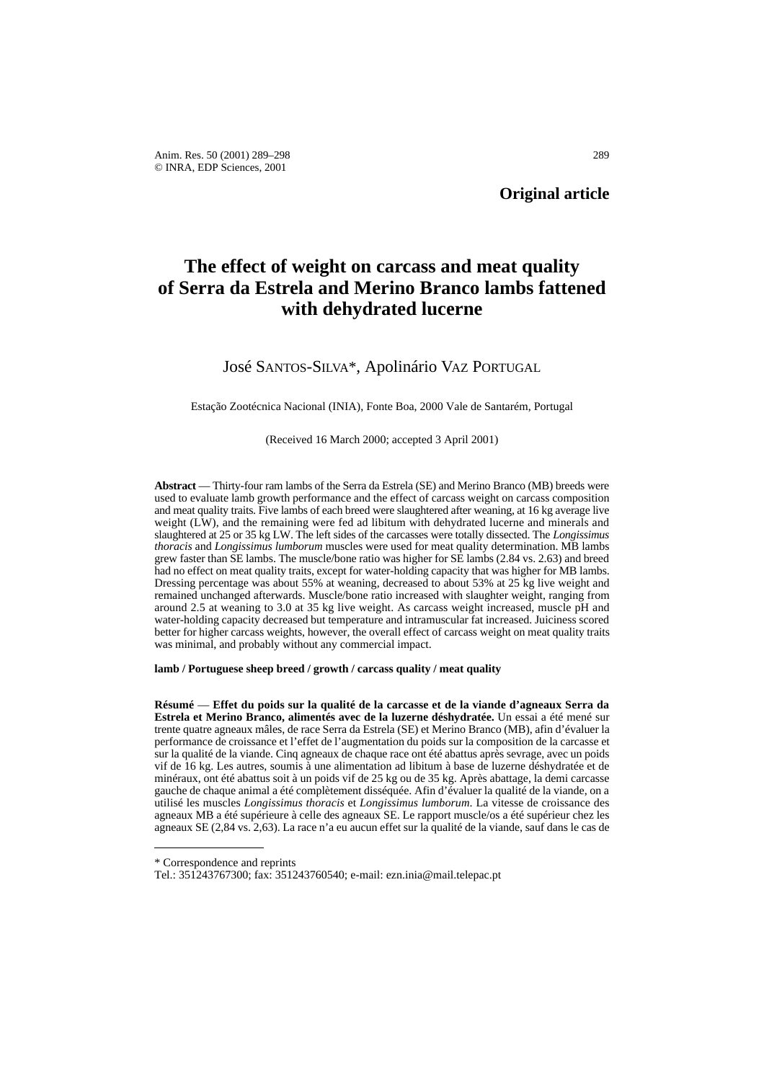# **The effect of weight on carcass and meat quality of Serra da Estrela and Merino Branco lambs fattened with dehydrated lucerne**

## José SANTOS-SILVA\*, Apolinário VAZ PORTUGAL

Estação Zootécnica Nacional (INIA), Fonte Boa, 2000 Vale de Santarém, Portugal

#### (Received 16 March 2000; accepted 3 April 2001)

**Abstract** — Thirty-four ram lambs of the Serra da Estrela (SE) and Merino Branco (MB) breeds were used to evaluate lamb growth performance and the effect of carcass weight on carcass composition and meat quality traits. Five lambs of each breed were slaughtered after weaning, at 16 kg average live weight (LW), and the remaining were fed ad libitum with dehydrated lucerne and minerals and slaughtered at 25 or 35 kg LW. The left sides of the carcasses were totally dissected. The *Longissimus thoracis* and *Longissimus lumborum* muscles were used for meat quality determination. MB lambs grew faster than SE lambs. The muscle/bone ratio was higher for SE lambs (2.84 vs. 2.63) and breed had no effect on meat quality traits, except for water-holding capacity that was higher for MB lambs. Dressing percentage was about 55% at weaning, decreased to about 53% at 25 kg live weight and remained unchanged afterwards. Muscle/bone ratio increased with slaughter weight, ranging from around 2.5 at weaning to 3.0 at 35 kg live weight. As carcass weight increased, muscle pH and water-holding capacity decreased but temperature and intramuscular fat increased. Juiciness scored better for higher carcass weights, however, the overall effect of carcass weight on meat quality traits was minimal, and probably without any commercial impact.

**lamb / Portuguese sheep breed / growth / carcass quality / meat quality**

**Résumé** — **Effet du poids sur la qualité de la carcasse et de la viande d'agneaux Serra da Estrela et Merino Branco, alimentés avec de la luzerne déshydratée.** Un essai a été mené sur trente quatre agneaux mâles, de race Serra da Estrela (SE) et Merino Branco (MB), afin d'évaluer la performance de croissance et l'effet de l'augmentation du poids sur la composition de la carcasse et sur la qualité de la viande. Cinq agneaux de chaque race ont été abattus après sevrage, avec un poids vif de 16 kg. Les autres, soumis à une alimentation ad libitum à base de luzerne déshydratée et de minéraux, ont été abattus soit à un poids vif de 25 kg ou de 35 kg. Après abattage, la demi carcasse gauche de chaque animal a été complètement disséquée. Afin d'évaluer la qualité de la viande, on a utilisé les muscles *Longissimus thoracis* et *Longissimus lumborum*. La vitesse de croissance des agneaux MB a été supérieure à celle des agneaux SE. Le rapport muscle/os a été supérieur chez les agneaux SE (2,84 vs. 2,63). La race n'a eu aucun effet sur la qualité de la viande, sauf dans le cas de

<sup>\*</sup> Correspondence and reprints

Tel.: 351243767300; fax: 351243760540; e-mail: ezn.inia@mail.telepac.pt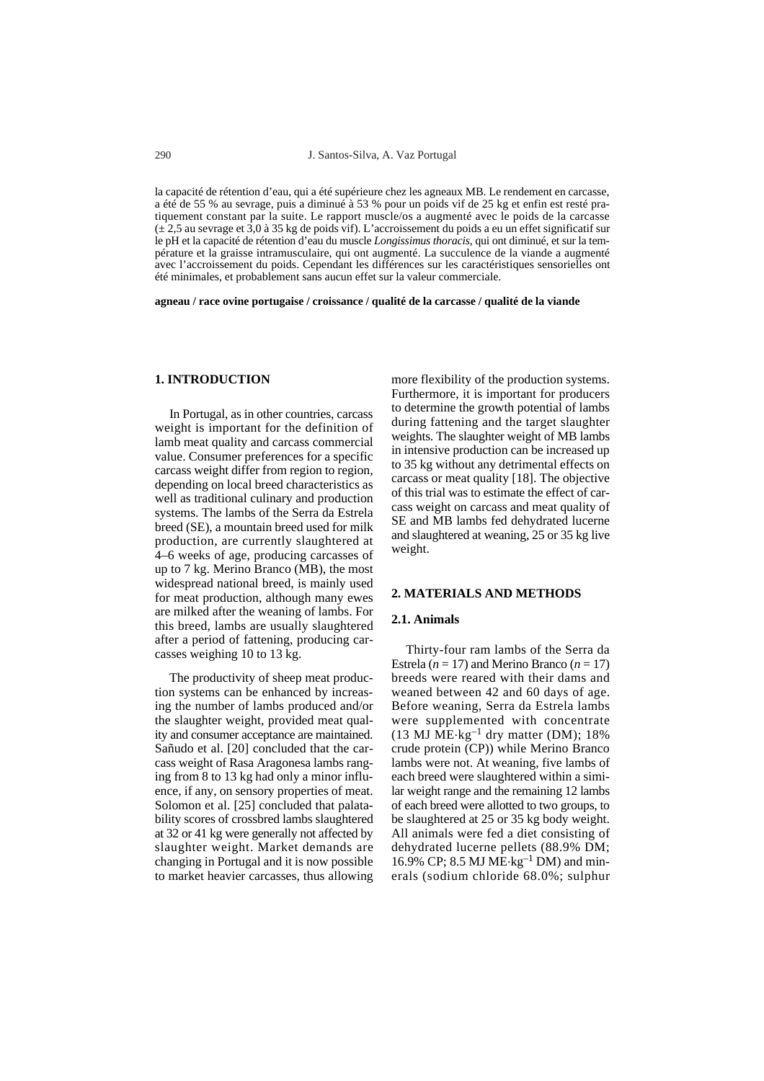la capacité de rétention d'eau, qui a été supérieure chez les agneaux MB. Le rendement en carcasse, a été de 55 % au sevrage, puis a diminué à 53 % pour un poids vif de 25 kg et enfin est resté pratiquement constant par la suite. Le rapport muscle/os a augmenté avec le poids de la carcasse  $(\pm 2.5$  au sevrage et 3,0 à 35 kg de poids vif). L'accroissement du poids a eu un effet significatif sur le pH et la capacité de rétention d'eau du muscle *Longissimus thoracis*, qui ont diminué, et sur la température et la graisse intramusculaire, qui ont augmenté. La succulence de la viande a augmenté avec l'accroissement du poids. Cependant les différences sur les caractéristiques sensorielles ont été minimales, et probablement sans aucun effet sur la valeur commerciale.

**agneau / race ovine portugaise / croissance / qualité de la carcasse / qualité de la viande** 

## **1. INTRODUCTION**

In Portugal, as in other countries, carcass weight is important for the definition of lamb meat quality and carcass commercial value. Consumer preferences for a specific carcass weight differ from region to region, depending on local breed characteristics as well as traditional culinary and production systems. The lambs of the Serra da Estrela breed (SE), a mountain breed used for milk production, are currently slaughtered at 4–6 weeks of age, producing carcasses of up to 7 kg. Merino Branco (MB), the most widespread national breed, is mainly used for meat production, although many ewes are milked after the weaning of lambs. For this breed, lambs are usually slaughtered after a period of fattening, producing carcasses weighing 10 to 13 kg.

The productivity of sheep meat production systems can be enhanced by increasing the number of lambs produced and/or the slaughter weight, provided meat quality and consumer acceptance are maintained. Sañudo et al. [20] concluded that the carcass weight of Rasa Aragonesa lambs ranging from 8 to 13 kg had only a minor influence, if any, on sensory properties of meat. Solomon et al. [25] concluded that palatability scores of crossbred lambs slaughtered at 32 or 41 kg were generally not affected by slaughter weight. Market demands are changing in Portugal and it is now possible to market heavier carcasses, thus allowing more flexibility of the production systems. Furthermore, it is important for producers to determine the growth potential of lambs during fattening and the target slaughter weights. The slaughter weight of MB lambs in intensive production can be increased up to 35 kg without any detrimental effects on carcass or meat quality [18]. The objective of this trial was to estimate the effect of carcass weight on carcass and meat quality of SE and MB lambs fed dehydrated lucerne and slaughtered at weaning, 25 or 35 kg live weight.

#### **2. MATERIALS AND METHODS**

#### **2.1. Animals**

Thirty-four ram lambs of the Serra da Estrela ( $n = 17$ ) and Merino Branco ( $n = 17$ ) breeds were reared with their dams and weaned between 42 and 60 days of age. Before weaning, Serra da Estrela lambs were supplemented with concentrate (13 MJ  $\widehat{ME}$ ·kg<sup>-1</sup> dry matter (DM); 18% crude protein (CP)) while Merino Branco lambs were not. At weaning, five lambs of each breed were slaughtered within a similar weight range and the remaining 12 lambs of each breed were allotted to two groups, to be slaughtered at 25 or 35 kg body weight. All animals were fed a diet consisting of dehydrated lucerne pellets (88.9% DM; 16.9% CP; 8.5 MJ ME.kg–1 DM) and minerals (sodium chloride 68.0%; sulphur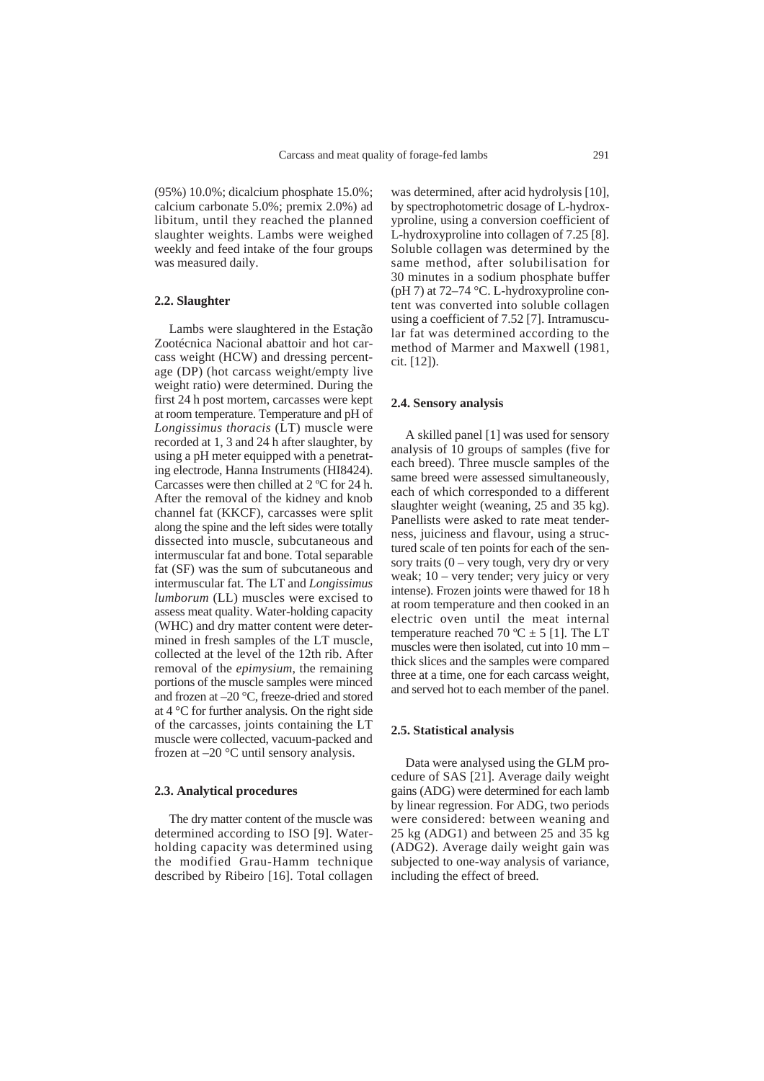(95%) 10.0%; dicalcium phosphate 15.0%; calcium carbonate 5.0%; premix 2.0%) ad libitum, until they reached the planned slaughter weights. Lambs were weighed weekly and feed intake of the four groups was measured daily.

## **2.2. Slaughter**

Lambs were slaughtered in the Estação Zootécnica Nacional abattoir and hot carcass weight (HCW) and dressing percentage (DP) (hot carcass weight/empty live weight ratio) were determined. During the first 24 h post mortem, carcasses were kept at room temperature. Temperature and pH of *Longissimus thoracis* (LT) muscle were recorded at 1, 3 and 24 h after slaughter, by using a pH meter equipped with a penetrating electrode, Hanna Instruments (HI8424). Carcasses were then chilled at 2 ºC for 24 h. After the removal of the kidney and knob channel fat (KKCF), carcasses were split along the spine and the left sides were totally dissected into muscle, subcutaneous and intermuscular fat and bone. Total separable fat (SF) was the sum of subcutaneous and intermuscular fat. The LT and *Longissimus lumborum* (LL) muscles were excised to assess meat quality. Water-holding capacity (WHC) and dry matter content were determined in fresh samples of the LT muscle, collected at the level of the 12th rib. After removal of the *epimysium*, the remaining portions of the muscle samples were minced and frozen at –20 °C, freeze-dried and stored at 4 °C for further analysis. On the right side of the carcasses, joints containing the LT muscle were collected, vacuum-packed and frozen at –20 °C until sensory analysis.

#### **2.3. Analytical procedures**

The dry matter content of the muscle was determined according to ISO [9]. Waterholding capacity was determined using the modified Grau-Hamm technique described by Ribeiro [16]. Total collagen

was determined, after acid hydrolysis [10], by spectrophotometric dosage of L-hydroxyproline, using a conversion coefficient of L-hydroxyproline into collagen of 7.25 [8]. Soluble collagen was determined by the same method, after solubilisation for 30 minutes in a sodium phosphate buffer (pH 7) at 72–74 °C. L-hydroxyproline content was converted into soluble collagen using a coefficient of 7.52 [7]. Intramuscular fat was determined according to the method of Marmer and Maxwell (1981, cit. [12]).

#### **2.4. Sensory analysis**

A skilled panel [1] was used for sensory analysis of 10 groups of samples (five for each breed). Three muscle samples of the same breed were assessed simultaneously, each of which corresponded to a different slaughter weight (weaning, 25 and 35 kg). Panellists were asked to rate meat tenderness, juiciness and flavour, using a structured scale of ten points for each of the sensory traits  $(0 - \text{very tough}, \text{very dry or very})$ weak; 10 – very tender; very juicy or very intense). Frozen joints were thawed for 18 h at room temperature and then cooked in an electric oven until the meat internal temperature reached 70 °C  $\pm$  5 [1]. The LT muscles were then isolated, cut into 10 mm – thick slices and the samples were compared three at a time, one for each carcass weight, and served hot to each member of the panel.

#### **2.5. Statistical analysis**

Data were analysed using the GLM procedure of SAS [21]. Average daily weight gains (ADG) were determined for each lamb by linear regression. For ADG, two periods were considered: between weaning and 25 kg (ADG1) and between 25 and 35 kg (ADG2). Average daily weight gain was subjected to one-way analysis of variance, including the effect of breed.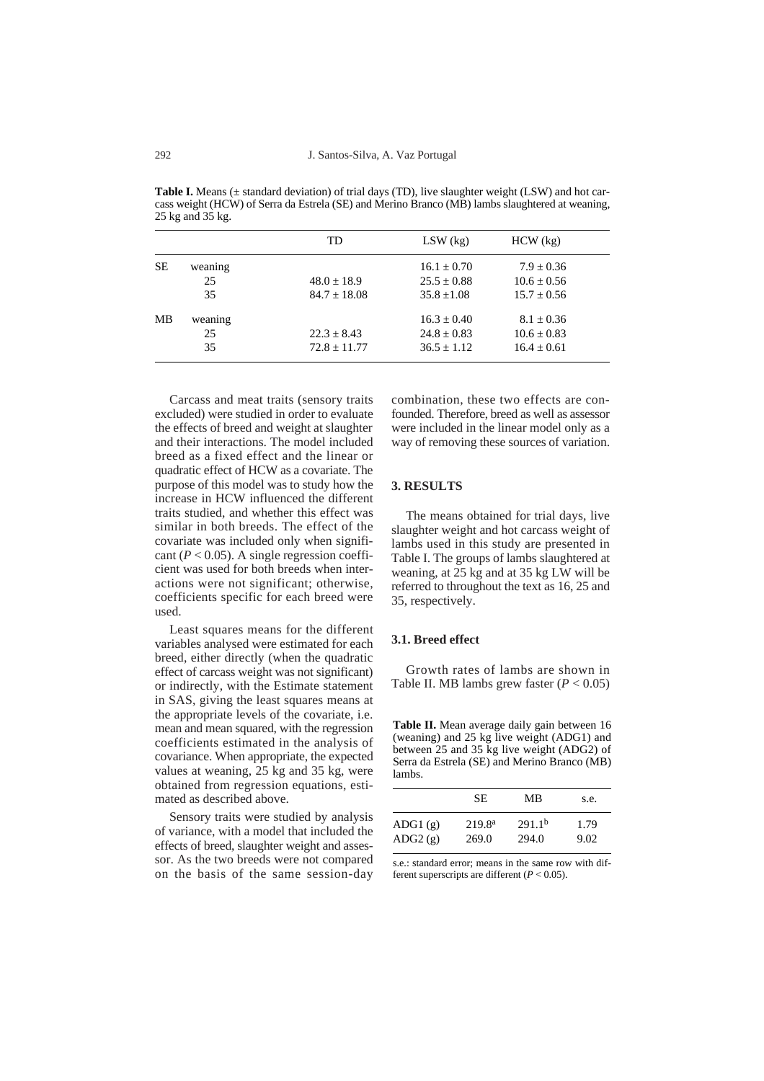**Table I.** Means ( $\pm$  standard deviation) of trial days (TD), live slaughter weight (LSW) and hot carcass weight (HCW) of Serra da Estrela (SE) and Merino Branco (MB) lambs slaughtered at weaning, 25 kg and 35 kg.

|           |         | TD             | $LSW$ (kg)      | $HCW$ $(kg)$    |
|-----------|---------|----------------|-----------------|-----------------|
| <b>SE</b> | weaning |                | $16.1 \pm 0.70$ | $7.9 \pm 0.36$  |
|           | 25      | $48.0 + 18.9$  | $25.5 + 0.88$   | $10.6 + 0.56$   |
|           | 35      | $84.7 + 18.08$ | $35.8 + 1.08$   | $15.7 + 0.56$   |
| MВ        | weaning |                | $16.3 + 0.40$   | $8.1 + 0.36$    |
|           | 25      | $22.3 + 8.43$  | $24.8 \pm 0.83$ | $10.6 \pm 0.83$ |
|           | 35      | $72.8 + 11.77$ | $36.5 + 1.12$   | $16.4 + 0.61$   |

Carcass and meat traits (sensory traits excluded) were studied in order to evaluate the effects of breed and weight at slaughter and their interactions. The model included breed as a fixed effect and the linear or quadratic effect of HCW as a covariate. The purpose of this model was to study how the increase in HCW influenced the different traits studied, and whether this effect was similar in both breeds. The effect of the covariate was included only when significant ( $P < 0.05$ ). A single regression coefficient was used for both breeds when interactions were not significant; otherwise, coefficients specific for each breed were used.

Least squares means for the different variables analysed were estimated for each breed, either directly (when the quadratic effect of carcass weight was not significant) or indirectly, with the Estimate statement in SAS, giving the least squares means at the appropriate levels of the covariate, i.e. mean and mean squared, with the regression coefficients estimated in the analysis of covariance. When appropriate, the expected values at weaning, 25 kg and 35 kg, were obtained from regression equations, estimated as described above.

Sensory traits were studied by analysis of variance, with a model that included the effects of breed, slaughter weight and assessor. As the two breeds were not compared on the basis of the same session-day combination, these two effects are confounded. Therefore, breed as well as assessor were included in the linear model only as a way of removing these sources of variation.

## **3. RESULTS**

The means obtained for trial days, live slaughter weight and hot carcass weight of lambs used in this study are presented in Table I. The groups of lambs slaughtered at weaning, at 25 kg and at 35 kg LW will be referred to throughout the text as 16, 25 and 35, respectively.

## **3.1. Breed effect**

Growth rates of lambs are shown in Table II. MB lambs grew faster  $(P < 0.05)$ 

**Table II.** Mean average daily gain between 16 (weaning) and 25 kg live weight (ADG1) and between 25 and 35 kg live weight (ADG2) of Serra da Estrela (SE) and Merino Branco (MB) lambs.

|                    | SЕ                          | MВ                          | s.e.         |  |
|--------------------|-----------------------------|-----------------------------|--------------|--|
| ADG1(g)<br>ADG2(g) | 219.8 <sup>a</sup><br>269.0 | 291.1 <sup>b</sup><br>294.0 | 1.79<br>9.02 |  |

s.e.: standard error; means in the same row with different superscripts are different (*P* < 0.05).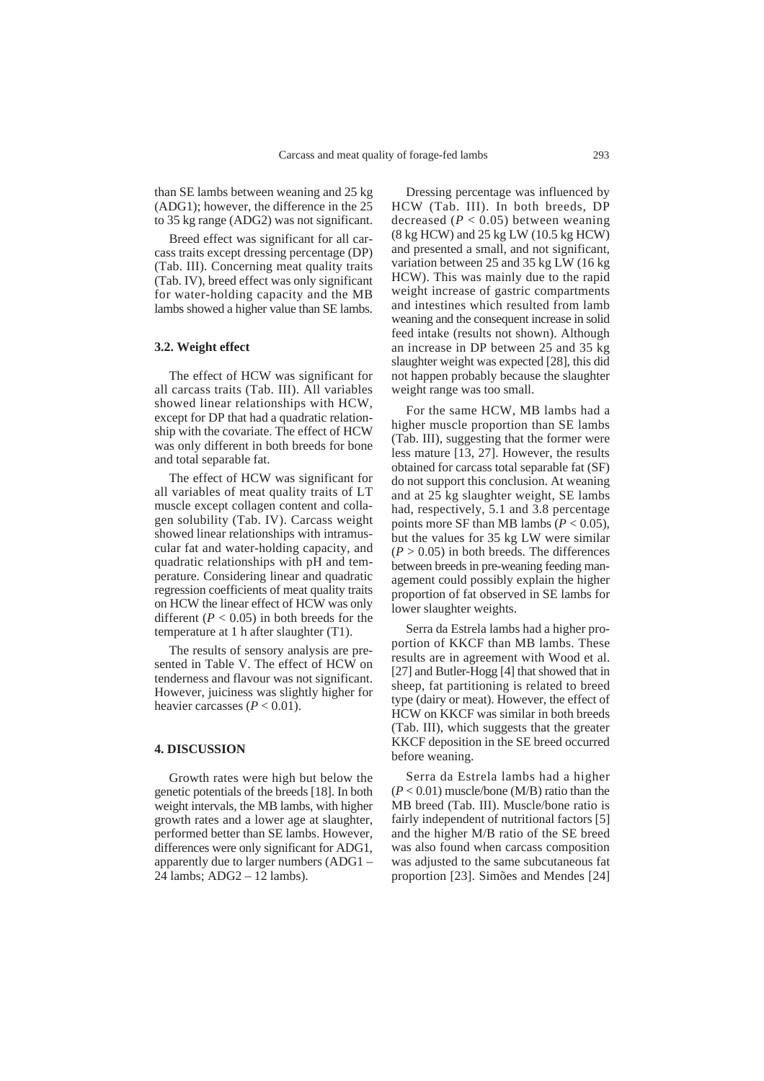than SE lambs between weaning and 25 kg (ADG1); however, the difference in the 25 to 35 kg range (ADG2) was not significant.

Breed effect was significant for all carcass traits except dressing percentage (DP) (Tab. III). Concerning meat quality traits (Tab. IV), breed effect was only significant for water-holding capacity and the MB lambs showed a higher value than SE lambs.

## **3.2. Weight effect**

The effect of HCW was significant for all carcass traits (Tab. III). All variables showed linear relationships with HCW, except for DP that had a quadratic relationship with the covariate. The effect of HCW was only different in both breeds for bone and total separable fat.

The effect of HCW was significant for all variables of meat quality traits of LT muscle except collagen content and collagen solubility (Tab. IV). Carcass weight showed linear relationships with intramuscular fat and water-holding capacity, and quadratic relationships with pH and temperature. Considering linear and quadratic regression coefficients of meat quality traits on HCW the linear effect of HCW was only different  $(P < 0.05)$  in both breeds for the temperature at 1 h after slaughter (T1).

The results of sensory analysis are presented in Table V. The effect of HCW on tenderness and flavour was not significant. However, juiciness was slightly higher for heavier carcasses  $(P < 0.01)$ .

## **4. DISCUSSION**

Growth rates were high but below the genetic potentials of the breeds [18]. In both weight intervals, the MB lambs, with higher growth rates and a lower age at slaughter, performed better than SE lambs. However, differences were only significant for ADG1, apparently due to larger numbers (ADG1 – 24 lambs; ADG2 – 12 lambs).

Dressing percentage was influenced by HCW (Tab. III). In both breeds, DP decreased  $(P < 0.05)$  between weaning (8 kg HCW) and 25 kg LW (10.5 kg HCW) and presented a small, and not significant, variation between 25 and 35 kg LW (16 kg HCW). This was mainly due to the rapid weight increase of gastric compartments and intestines which resulted from lamb weaning and the consequent increase in solid feed intake (results not shown). Although an increase in DP between 25 and 35 kg slaughter weight was expected [28], this did not happen probably because the slaughter weight range was too small.

For the same HCW, MB lambs had a higher muscle proportion than SE lambs (Tab. III), suggesting that the former were less mature [13, 27]. However, the results obtained for carcass total separable fat (SF) do not support this conclusion. At weaning and at 25 kg slaughter weight, SE lambs had, respectively, 5.1 and 3.8 percentage points more SF than MB lambs ( $P < 0.05$ ), but the values for 35 kg LW were similar  $(P > 0.05)$  in both breeds. The differences between breeds in pre-weaning feeding management could possibly explain the higher proportion of fat observed in SE lambs for lower slaughter weights.

Serra da Estrela lambs had a higher proportion of KKCF than MB lambs. These results are in agreement with Wood et al. [27] and Butler-Hogg [4] that showed that in sheep, fat partitioning is related to breed type (dairy or meat). However, the effect of HCW on KKCF was similar in both breeds (Tab. III), which suggests that the greater KKCF deposition in the SE breed occurred before weaning.

Serra da Estrela lambs had a higher (*P* < 0.01) muscle/bone (M/B) ratio than the MB breed (Tab. III). Muscle/bone ratio is fairly independent of nutritional factors [5] and the higher M/B ratio of the SE breed was also found when carcass composition was adjusted to the same subcutaneous fat proportion [23]. Simões and Mendes [24]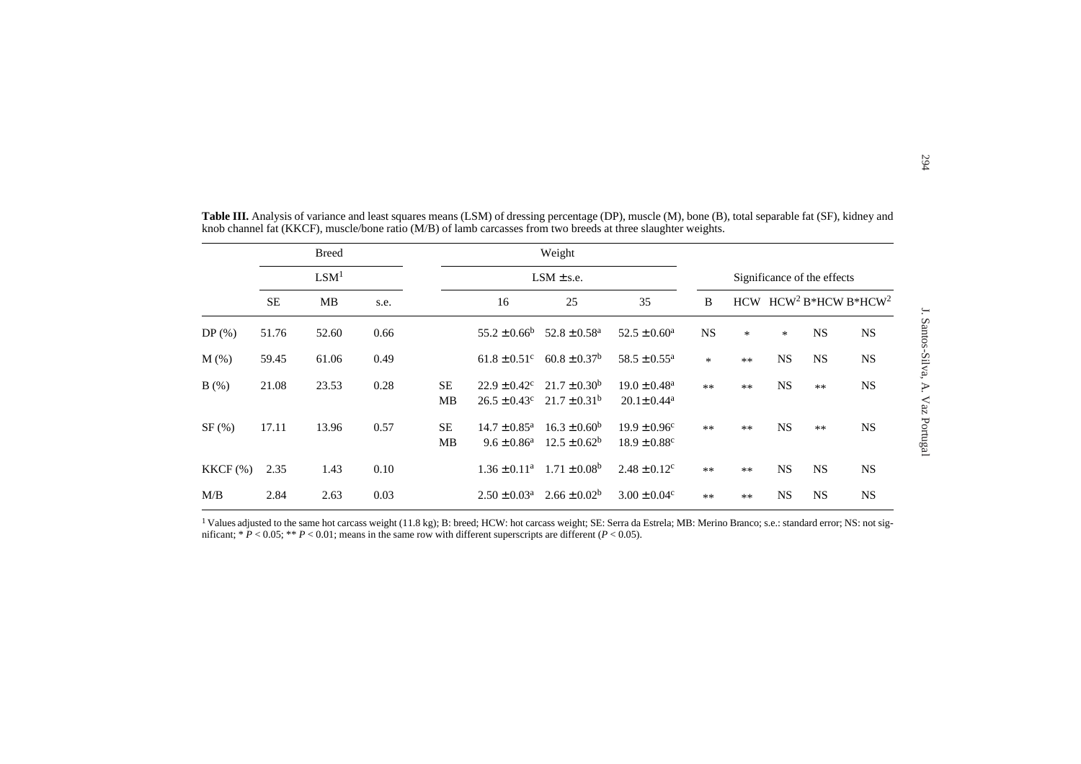|            |           | <b>Breed</b>     |      |                 |                                                | Weight                                 |                                                              |                             |      |           |                         |           |
|------------|-----------|------------------|------|-----------------|------------------------------------------------|----------------------------------------|--------------------------------------------------------------|-----------------------------|------|-----------|-------------------------|-----------|
|            |           | LSM <sup>1</sup> |      |                 | $LSM \pm s.e.$                                 |                                        |                                                              | Significance of the effects |      |           |                         |           |
|            | <b>SE</b> | MB               | s.e. |                 | 16                                             | 25                                     | 35                                                           | B                           |      |           | HCW $HCW2 B*HCW B*HCW2$ |           |
| $DP(\%)$   | 51.76     | 52.60            | 0.66 |                 | $55.2 \pm 0.66^b$                              | $52.8 \pm 0.58$ <sup>a</sup>           | $52.5 \pm 0.60^a$                                            | <b>NS</b>                   | *    | $\ast$    | <b>NS</b>               | <b>NS</b> |
| $M(\%)$    | 59.45     | 61.06            | 0.49 |                 | $61.8 \pm 0.51$ <sup>c</sup>                   | $60.8 \pm 0.37$ <sup>b</sup>           | $58.5 \pm 0.55$ <sup>a</sup>                                 | *                           | $**$ | NS        | <b>NS</b>               | <b>NS</b> |
| B(%)       | 21.08     | 23.53            | 0.28 | <b>SE</b><br>MB | $22.9 \pm 0.42^c$<br>$26.5 \pm 0.43^c$         | $21.7 \pm 0.30^b$<br>$21.7 \pm 0.31^b$ | $19.0 \pm 0.48$ <sup>a</sup><br>$20.1 \pm 0.44$ <sup>a</sup> | $**$                        | $**$ | <b>NS</b> | $**$                    | <b>NS</b> |
| SF(%)      | 17.11     | 13.96            | 0.57 | SE<br>MB        | $14.7 \pm 0.85^{\text{a}}$<br>$9.6 \pm 0.86^a$ | $16.3 \pm 0.60^b$<br>$12.5 \pm 0.62^b$ | $19.9 \pm 0.96^c$<br>$18.9 \pm 0.88$ <sup>c</sup>            | $**$                        | $**$ | <b>NS</b> | $**$                    | <b>NS</b> |
| $KKCF$ (%) | 2.35      | 1.43             | 0.10 |                 | $1.36 \pm 0.11^a$                              | $1.71 \pm 0.08^b$                      | $2.48 \pm 0.12$ <sup>c</sup>                                 | $**$                        | $**$ | <b>NS</b> | <b>NS</b>               | <b>NS</b> |
| M/B        | 2.84      | 2.63             | 0.03 |                 | $2.50 \pm 0.03^a$                              | $2.66 \pm 0.02^b$                      | $3.00 \pm 0.04$ <sup>c</sup>                                 | $**$                        | $**$ | <b>NS</b> | <b>NS</b>               | <b>NS</b> |

<sup>1</sup> Values adjusted to the same hot carcass weight (11.8 kg); B: breed; HCW: hot carcass weight; SE: Serra da Estrela; MB: Merino Branco; s.e.: standard error; NS: not significant; \* *P* < 0.05; \*\* *P* < 0.01; means in the same row with different superscripts are different (*P* < 0.05).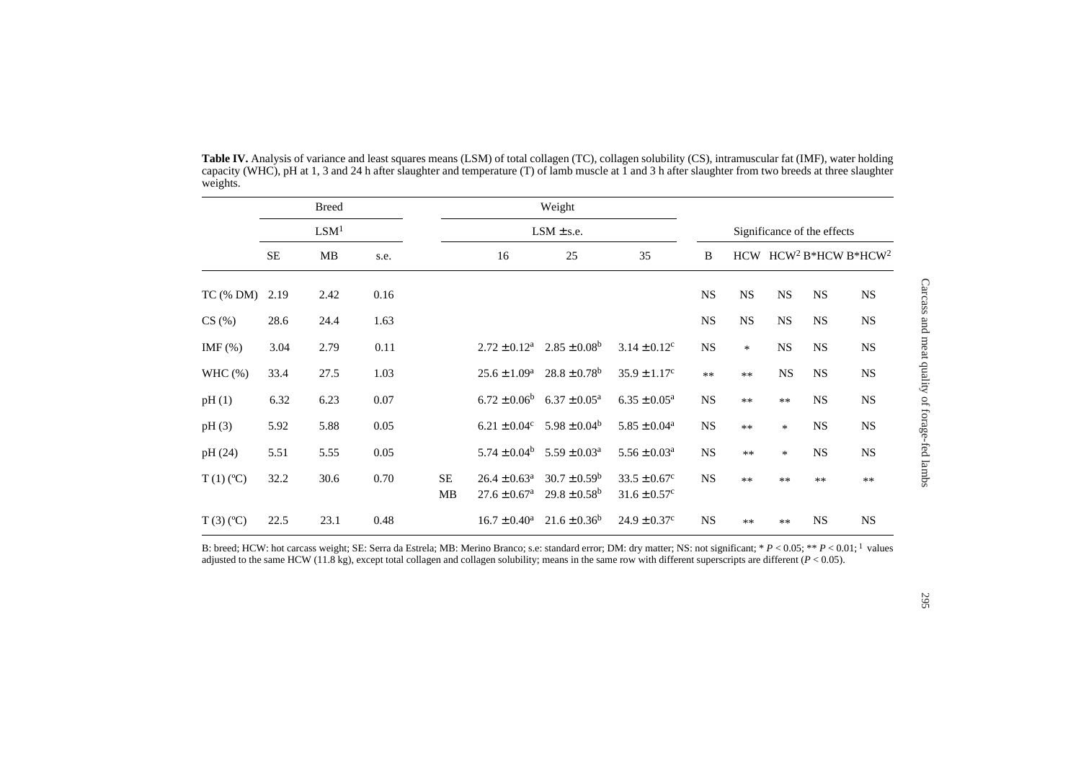|             | <b>Breed</b>     |      |      |           | Weight                                                      |                                                         |                                                   |           |                             |           |           |                                               |  |
|-------------|------------------|------|------|-----------|-------------------------------------------------------------|---------------------------------------------------------|---------------------------------------------------|-----------|-----------------------------|-----------|-----------|-----------------------------------------------|--|
|             | LSM <sup>1</sup> |      |      |           | $LSM \pm s.e.$                                              |                                                         |                                                   |           | Significance of the effects |           |           |                                               |  |
|             | $\rm SE$         | MB   | s.e. |           | 16                                                          | 25                                                      | 35                                                | B         |                             |           |           | HCW HCW <sup>2</sup> B*HCW B*HCW <sup>2</sup> |  |
| $TC$ (% DM) | 2.19             | 2.42 | 0.16 |           |                                                             |                                                         |                                                   | <b>NS</b> | <b>NS</b>                   | <b>NS</b> | <b>NS</b> | <b>NS</b>                                     |  |
| CS(%)       | 28.6             | 24.4 | 1.63 |           |                                                             |                                                         |                                                   | <b>NS</b> | NS                          | <b>NS</b> | <b>NS</b> | <b>NS</b>                                     |  |
| IMF $(\%)$  | 3.04             | 2.79 | 0.11 |           |                                                             | $2.72 \pm 0.12^a$ $2.85 \pm 0.08^b$                     | $3.14 \pm 0.12$ <sup>c</sup>                      | <b>NS</b> | $\ast$                      | <b>NS</b> | <b>NS</b> | $_{\rm NS}$                                   |  |
| WHC $(\%)$  | 33.4             | 27.5 | 1.03 |           | $25.6 \pm 1.09^{\rm a}$                                     | $28.8 \pm 0.78$ <sup>b</sup>                            | $35.9 \pm 1.17^c$                                 | $**$      | $**$                        | <b>NS</b> | <b>NS</b> | NS                                            |  |
| pH(1)       | 6.32             | 6.23 | 0.07 |           | $6.72 \pm 0.06^b$                                           | $6.37 \pm 0.05^{\text{a}}$                              | $6.35 \pm 0.05^{\text{a}}$                        | <b>NS</b> | $**$                        | $**$      | <b>NS</b> | $_{\rm NS}$                                   |  |
| pH(3)       | 5.92             | 5.88 | 0.05 |           | $6.21 \pm 0.04$ <sup>c</sup>                                | $5.98 \pm 0.04^b$                                       | $5.85 \pm 0.04^a$                                 | <b>NS</b> | $**$                        | $\ast$    | <b>NS</b> | $_{\rm NS}$                                   |  |
| pH(24)      | 5.51             | 5.55 | 0.05 |           | $5.74 \pm 0.04^b$                                           | $5.59 \pm 0.03^{\circ}$                                 | $5.56 \pm 0.03^a$                                 | <b>NS</b> | $**$                        | $\ast$    | <b>NS</b> | <b>NS</b>                                     |  |
| $T(1)$ (°C) | 32.2             | 30.6 | 0.70 | <b>SE</b> | $26.4 \pm 0.63^{\text{a}}$<br>MB<br>$27.6 \pm 0.67^{\rm a}$ | $30.7 \pm 0.59^{\rm b}$<br>$29.8 \pm 0.58$ <sup>b</sup> | $33.5 \pm 0.67$ °<br>$31.6 \pm 0.57$ <sup>c</sup> | <b>NS</b> | $**$                        | $**$      | $**$      | $**$                                          |  |
| $T(3)$ (°C) | 22.5             | 23.1 | 0.48 |           | $16.7 \pm 0.40^a$                                           | $21.6 \pm 0.36^b$                                       | $24.9 \pm 0.37$ °                                 | <b>NS</b> | **                          | $**$      | <b>NS</b> | <b>NS</b>                                     |  |

**Table IV.** Analysis of variance and least squares means (LSM) of total collagen (TC), collagen solubility (CS), intramuscular fat (IMF), water holding capacity (WHC), pH at 1, 3 and 24 h after slaughter and temperature (T) of lamb muscle at 1 and 3 h after slaughter from two breeds at three slaughter weights.

B: breed; HCW: hot carcass weight; SE: Serra da Estrela; MB: Merino Branco; s.e: standard error; DM: dry matter; NS: not significant; \* *<sup>P</sup>* < 0.05; \*\* *<sup>P</sup>* < 0.01; 1 values adjusted to the same HCW (11.8 kg), except total collagen and collagen solubility; means in the same row with different superscripts are different (*P* < 0.05).

Carcass and meat quality of forage-fed lambs

Carcass and meat quality of forage-fed lambs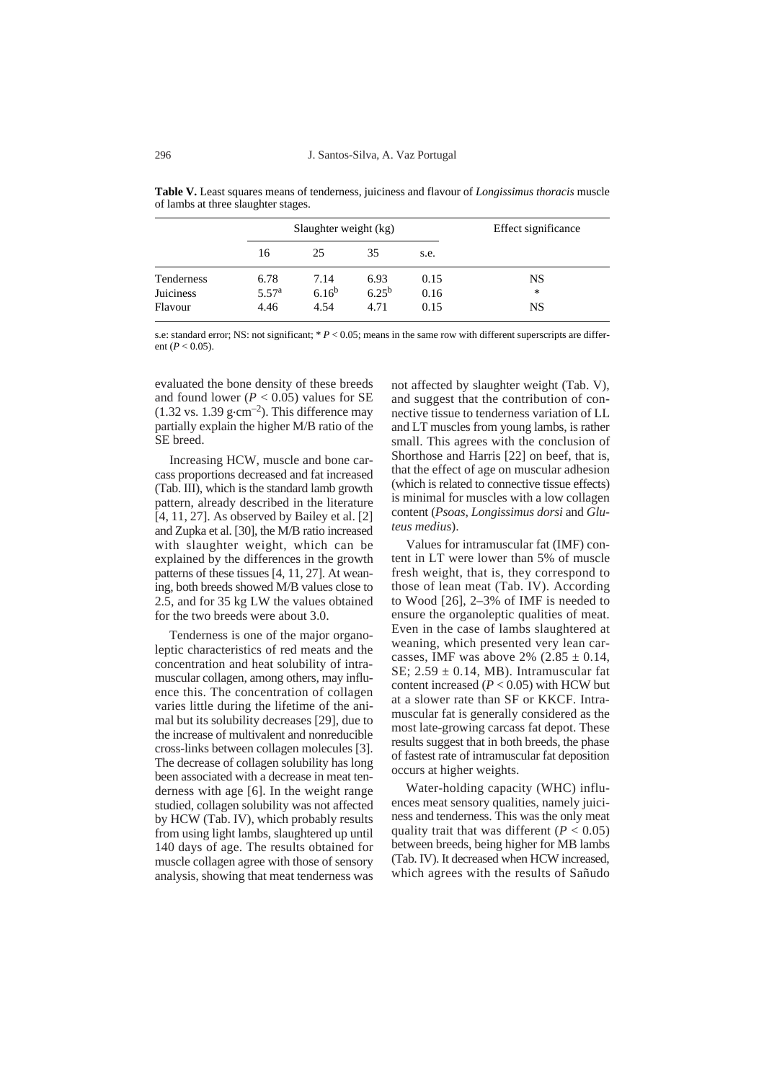| <b>Table V.</b> Least squares means of tenderness, juiciness and flavour of <i>Longissimus thoracis</i> muscle |
|----------------------------------------------------------------------------------------------------------------|
| of lambs at three slaughter stages.                                                                            |
|                                                                                                                |

|                  |                   | Slaughter weight (kg) |            |      | Effect significance |
|------------------|-------------------|-----------------------|------------|------|---------------------|
|                  | 16                | 25                    | 35         | s.e. |                     |
| Tenderness       | 6.78              | 7.14                  | 6.93       | 0.15 | NS                  |
| <b>Juiciness</b> | 5.57 <sup>a</sup> | 6.16 <sup>b</sup>     | $6.25^{b}$ | 0.16 | *                   |
| Flavour          | 4.46              | 4.54                  | 4.71       | 0.15 | NS                  |

s.e: standard error; NS: not significant;  $* P < 0.05$ ; means in the same row with different superscripts are different ( $P < 0.05$ ).

evaluated the bone density of these breeds and found lower ( $P < 0.05$ ) values for SE  $(1.32 \text{ vs. } 1.39 \text{ g} \cdot \text{cm}^{-2})$ . This difference may partially explain the higher M/B ratio of the SE breed.

Increasing HCW, muscle and bone carcass proportions decreased and fat increased (Tab. III), which is the standard lamb growth pattern, already described in the literature [4, 11, 27]. As observed by Bailey et al. [2] and Zupka et al. [30], the M/B ratio increased with slaughter weight, which can be explained by the differences in the growth patterns of these tissues [4, 11, 27]. At weaning, both breeds showed M/B values close to 2.5, and for 35 kg LW the values obtained for the two breeds were about 3.0.

Tenderness is one of the major organoleptic characteristics of red meats and the concentration and heat solubility of intramuscular collagen, among others, may influence this. The concentration of collagen varies little during the lifetime of the animal but its solubility decreases [29], due to the increase of multivalent and nonreducible cross-links between collagen molecules [3]. The decrease of collagen solubility has long been associated with a decrease in meat tenderness with age [6]. In the weight range studied, collagen solubility was not affected by HCW (Tab. IV), which probably results from using light lambs, slaughtered up until 140 days of age. The results obtained for muscle collagen agree with those of sensory analysis, showing that meat tenderness was not affected by slaughter weight (Tab. V), and suggest that the contribution of connective tissue to tenderness variation of LL and LT muscles from young lambs, is rather small. This agrees with the conclusion of Shorthose and Harris [22] on beef, that is, that the effect of age on muscular adhesion (which is related to connective tissue effects) is minimal for muscles with a low collagen content (*Psoas*, *Longissimus dorsi* and *Gluteus medius*).

Values for intramuscular fat (IMF) content in LT were lower than 5% of muscle fresh weight, that is, they correspond to those of lean meat (Tab. IV). According to Wood [26], 2–3% of IMF is needed to ensure the organoleptic qualities of meat. Even in the case of lambs slaughtered at weaning, which presented very lean carcasses, IMF was above 2%  $(2.85 \pm 0.14,$ SE:  $2.59 \pm 0.14$ , MB). Intramuscular fat content increased  $(P < 0.05)$  with HCW but at a slower rate than SF or KKCF. Intramuscular fat is generally considered as the most late-growing carcass fat depot. These results suggest that in both breeds, the phase of fastest rate of intramuscular fat deposition occurs at higher weights.

Water-holding capacity (WHC) influences meat sensory qualities, namely juiciness and tenderness. This was the only meat quality trait that was different  $(P < 0.05)$ between breeds, being higher for MB lambs (Tab. IV). It decreased when HCW increased, which agrees with the results of Sañudo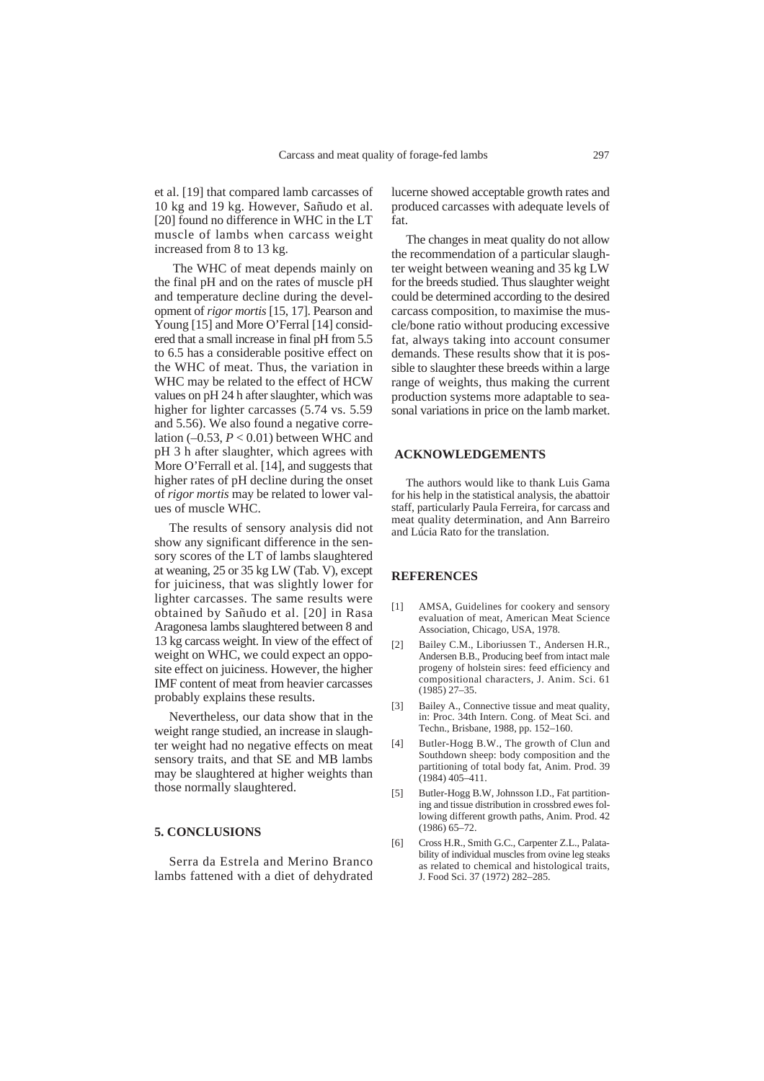et al. [19] that compared lamb carcasses of 10 kg and 19 kg. However, Sañudo et al. [20] found no difference in WHC in the LT muscle of lambs when carcass weight increased from 8 to 13 kg.

The WHC of meat depends mainly on the final pH and on the rates of muscle pH and temperature decline during the development of *rigor mortis* [15, 17]. Pearson and Young [15] and More O'Ferral [14] considered that a small increase in final pH from 5.5 to 6.5 has a considerable positive effect on the WHC of meat. Thus, the variation in WHC may be related to the effect of HCW values on pH 24 h after slaughter, which was higher for lighter carcasses  $(5.74 \text{ vs. } 5.59)$ and 5.56). We also found a negative correlation  $(-0.53, P < 0.01)$  between WHC and pH 3 h after slaughter, which agrees with More O'Ferrall et al. [14], and suggests that higher rates of pH decline during the onset of *rigor mortis* may be related to lower values of muscle WHC.

The results of sensory analysis did not show any significant difference in the sensory scores of the LT of lambs slaughtered at weaning, 25 or 35 kg LW (Tab. V), except for juiciness, that was slightly lower for lighter carcasses. The same results were obtained by Sañudo et al. [20] in Rasa Aragonesa lambs slaughtered between 8 and 13 kg carcass weight. In view of the effect of weight on WHC, we could expect an opposite effect on juiciness. However, the higher IMF content of meat from heavier carcasses probably explains these results.

Nevertheless, our data show that in the weight range studied, an increase in slaughter weight had no negative effects on meat sensory traits, and that SE and MB lambs may be slaughtered at higher weights than those normally slaughtered.

#### **5. CONCLUSIONS**

Serra da Estrela and Merino Branco lambs fattened with a diet of dehydrated

lucerne showed acceptable growth rates and produced carcasses with adequate levels of fat.

The changes in meat quality do not allow the recommendation of a particular slaughter weight between weaning and 35 kg LW for the breeds studied. Thus slaughter weight could be determined according to the desired carcass composition, to maximise the muscle/bone ratio without producing excessive fat, always taking into account consumer demands. These results show that it is possible to slaughter these breeds within a large range of weights, thus making the current production systems more adaptable to seasonal variations in price on the lamb market.

## **ACKNOWLEDGEMENTS**

The authors would like to thank Luis Gama for his help in the statistical analysis, the abattoir staff, particularly Paula Ferreira, for carcass and meat quality determination, and Ann Barreiro and Lúcia Rato for the translation.

#### **REFERENCES**

- [1] AMSA, Guidelines for cookery and sensory evaluation of meat, American Meat Science Association, Chicago, USA, 1978.
- [2] Bailey C.M., Liboriussen T., Andersen H.R., Andersen B.B., Producing beef from intact male progeny of holstein sires: feed efficiency and compositional characters, J. Anim. Sci. 61 (1985) 27–35.
- [3] Bailey A., Connective tissue and meat quality, in: Proc. 34th Intern. Cong. of Meat Sci. and Techn., Brisbane, 1988, pp. 152–160.
- [4] Butler-Hogg B.W., The growth of Clun and Southdown sheep: body composition and the partitioning of total body fat, Anim. Prod. 39  $(1984)$  405–411.
- [5] Butler-Hogg B.W, Johnsson I.D., Fat partitioning and tissue distribution in crossbred ewes following different growth paths, Anim. Prod. 42  $(1986)$  65–72.
- [6] Cross H.R., Smith G.C., Carpenter Z.L., Palatability of individual muscles from ovine leg steaks as related to chemical and histological traits, J. Food Sci. 37 (1972) 282–285.